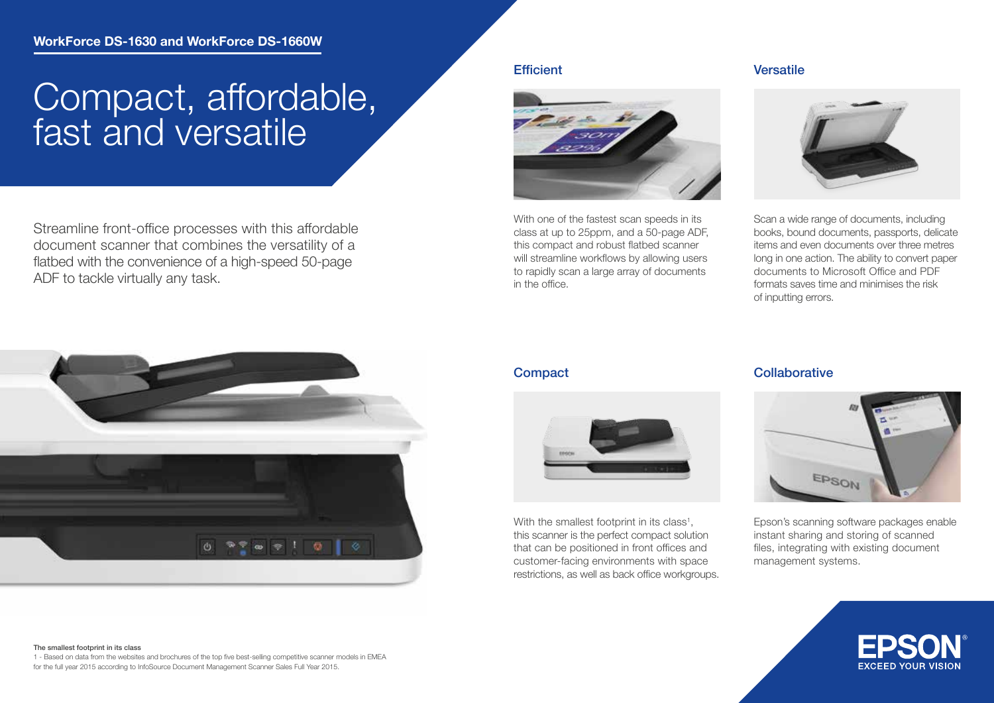# Compact, affordable, fast and versatile

Streamline front-office processes with this affordable document scanner that combines the versatility of a flatbed with the convenience of a high-speed 50-page ADF to tackle virtually any task.

### **Efficient**



With one of the fastest scan speeds in its class at up to 25ppm, and a 50-page ADF, this compact and robust flatbed scanner will streamline workflows by allowing users to rapidly scan a large array of documents in the office.

### Versatile



Scan a wide range of documents, including books, bound documents, passports, delicate items and even documents over three metres long in one action. The ability to convert paper documents to Microsoft Office and PDF formats saves time and minimises the risk of inputting errors.



### The smallest footprint in its class

1 - Based on data from the websites and brochures of the top five best-selling competitive scanner models in EMEA for the full year 2015 according to InfoSource Document Management Scanner Sales Full Year 2015.



With the smallest footprint in its class<sup>1</sup>, this scanner is the perfect compact solution that can be positioned in front offices and customer-facing environments with space restrictions, as well as back office workgroups.

### Compact Collaborative



Epson's scanning software packages enable instant sharing and storing of scanned files, integrating with existing document management systems.